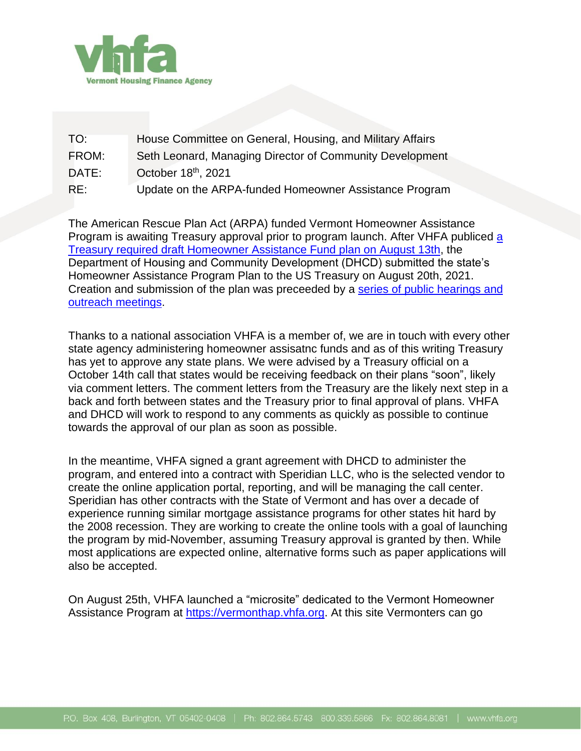

| TO:   | House Committee on General, Housing, and Military Affairs |
|-------|-----------------------------------------------------------|
| FROM: | Seth Leonard, Managing Director of Community Development  |
| DATE: | October 18th, 2021                                        |
| RE:   | Update on the ARPA-funded Homeowner Assistance Program    |

The American Rescue Plan Act (ARPA) funded Vermont Homeowner Assistance Program is awaiting Treasury approval prior to program launch. After VHFA publiced [a](http://vhfa.org/sites/default/files/VHFA%20Draft%20HAF%20Plan%2008132021.pdf) Treasury required [draft Homeowner Assistance Fund plan on August 13th,](http://vhfa.org/sites/default/files/VHFA%20Draft%20HAF%20Plan%2008132021.pdf) the Department of Housing and Community Development (DHCD) submitted the state's Homeowner Assistance Program Plan to the US Treasury on August 20th, 2021. Creation and submission of the plan was preceeded by a series [of public hearings and](https://vhfa.org/news/HAP)  [outreach meetings.](https://vhfa.org/news/HAP)

Thanks to a national association VHFA is a member of, we are in touch with every other state agency administering homeowner assisatnc funds and as of this writing Treasury has yet to approve any state plans. We were advised by a Treasury official on a October 14th call that states would be receiving feedback on their plans "soon", likely via comment letters. The comment letters from the Treasury are the likely next step in a back and forth between states and the Treasury prior to final approval of plans. VHFA and DHCD will work to respond to any comments as quickly as possible to continue towards the approval of our plan as soon as possible.

In the meantime, VHFA signed a grant agreement with DHCD to administer the program, and entered into a contract with Speridian LLC, who is the selected vendor to create the online application portal, reporting, and will be managing the call center. Speridian has other contracts with the State of Vermont and has over a decade of experience running similar mortgage assistance programs for other states hit hard by the 2008 recession. They are working to create the online tools with a goal of launching the program by mid-November, assuming Treasury approval is granted by then. While most applications are expected online, alternative forms such as paper applications will also be accepted.

On August 25th, VHFA launched a "microsite" dedicated to the Vermont Homeowner Assistance Program at [https://vermonthap.vhfa.org.](https://vermonthap.vhfa.org/) At this site Vermonters can go